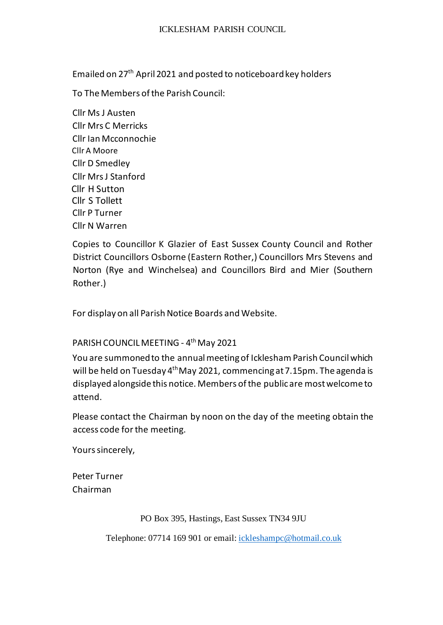Emailed on 27th April 2021 and posted to noticeboard key holders

To The Members of the Parish Council:

Cllr Ms J Austen Cllr Mrs C Merricks Cllr Ian Mcconnochie Cllr A Moore Cllr D Smedley Cllr Mrs J Stanford Cllr H Sutton Cllr S Tollett Cllr P Turner Cllr N Warren

Copies to Councillor K Glazier of East Sussex County Council and Rother District Councillors Osborne (Eastern Rother,) Councillors Mrs Stevens and Norton (Rye and Winchelsea) and Councillors Bird and Mier (Southern Rother.)

For display on all Parish Notice Boards and Website.

# PARISH COUNCIL MEETING - 4<sup>th</sup> May 2021

You are summoned to the annual meeting of Icklesham Parish Council which will be held on Tuesday 4<sup>th</sup> May 2021, commencing at 7.15pm. The agenda is displayed alongside this notice. Members of the public are most welcome to attend.

Please contact the Chairman by noon on the day of the meeting obtain the access code for the meeting.

Yours sincerely,

Peter Turner Chairman

PO Box 395, Hastings, East Sussex TN34 9JU

Telephone: 07714 169 901 or email[: ickleshampc@hotmail.co.uk](mailto:ickleshampc@hotmail.co.uk)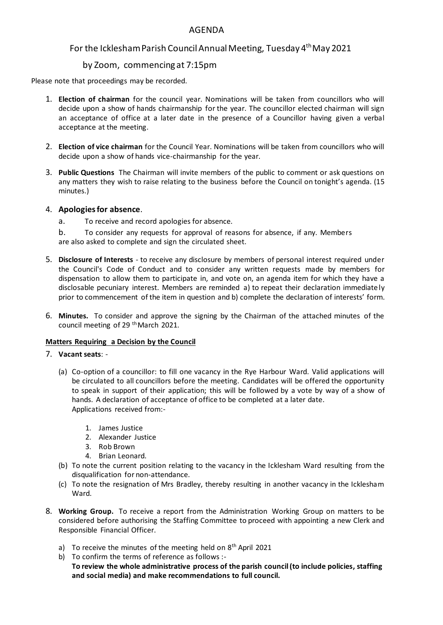## AGENDA

# For the Icklesham Parish Council Annual Meeting, Tuesday 4<sup>th</sup> May 2021

# by Zoom, commencing at 7:15pm

Please note that proceedings may be recorded.

- 1. **Election of chairman** for the council year. Nominations will be taken from councillors who will decide upon a show of hands chairmanship for the year. The councillor elected chairman will sign an acceptance of office at a later date in the presence of a Councillor having given a verbal acceptance at the meeting.
- 2. **Election of vice chairman** for the Council Year. Nominations will be taken from councillors who will decide upon a show of hands vice-chairmanship for the year.
- 3. **Public Questions** The Chairman will invite members of the public to comment or ask questions on any matters they wish to raise relating to the business before the Council on tonight's agenda. (15 minutes.)

### 4. **Apologies for absence**.

- a. To receive and record apologies for absence.
- b. To consider any requests for approval of reasons for absence, if any. Members are also asked to complete and sign the circulated sheet.
- 5. **Disclosure of Interests** to receive any disclosure by members of personal interest required under the Council's Code of Conduct and to consider any written requests made by members for dispensation to allow them to participate in, and vote on, an agenda item for which they have a disclosable pecuniary interest. Members are reminded a) to repeat their declaration immediate ly prior to commencement of the item in question and b) complete the declaration of interests' form.
- 6. **Minutes.** To consider and approve the signing by the Chairman of the attached minutes of the council meeting of 29<sup>th</sup> March 2021.

## **Matters Requiring a Decision by the Council**

### 7. **Vacant seats**: -

- (a) Co-option of a councillor: to fill one vacancy in the Rye Harbour Ward. Valid applications will be circulated to all councillors before the meeting. Candidates will be offered the opportunity to speak in support of their application; this will be followed by a vote by way of a show of hands. A declaration of acceptance of office to be completed at a later date. Applications received from:-
	- 1. James Justice
	- 2. Alexander Justice
	- 3. Rob Brown
	- 4. Brian Leonard.
- (b) To note the current position relating to the vacancy in the Icklesham Ward resulting from the disqualification for non-attendance.
- (c) To note the resignation of Mrs Bradley, thereby resulting in another vacancy in the Icklesham Ward.
- 8. **Working Group.** To receive a report from the Administration Working Group on matters to be considered before authorising the Staffing Committee to proceed with appointing a new Clerk and Responsible Financial Officer.
	- a) To receive the minutes of the meeting held on  $8<sup>th</sup>$  April 2021
	- b) To confirm the terms of reference as follows :-**To review the whole administrative process of the parish council (to include policies, staffing and social media) and make recommendations to full council.**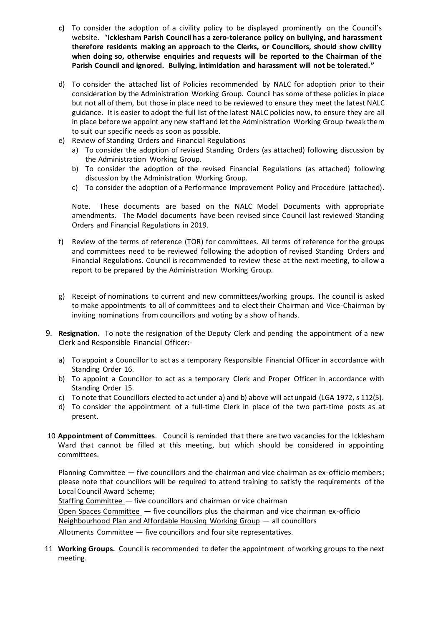- **c)** To consider the adoption of a civility policy to be displayed prominently on the Council's website. "**Icklesham Parish Council has a zero-tolerance policy on bullying, and harassment therefore residents making an approach to the Clerks, or Councillors, should show civility when doing so, otherwise enquiries and requests will be reported to the Chairman of the Parish Council and ignored. Bullying, intimidation and harassment will not be tolerated."**
- d) To consider the attached list of Policies recommended by NALC for adoption prior to their consideration by the Administration Working Group. Council has some of these policies in place but not all of them, but those in place need to be reviewed to ensure they meet the latest NALC guidance. It is easier to adopt the full list of the latest NALC policies now, to ensure they are all in place before we appoint any new staff and let the Administration Working Group tweak them to suit our specific needs as soon as possible.
- e) Review of Standing Orders and Financial Regulations
	- a) To consider the adoption of revised Standing Orders (as attached) following discussion by the Administration Working Group.
	- b) To consider the adoption of the revised Financial Regulations (as attached) following discussion by the Administration Working Group.
	- c) To consider the adoption of a Performance Improvement Policy and Procedure (attached).

Note. These documents are based on the NALC Model Documents with appropriate amendments. The Model documents have been revised since Council last reviewed Standing Orders and Financial Regulations in 2019.

- f) Review of the terms of reference (TOR) for committees. All terms of reference for the groups and committees need to be reviewed following the adoption of revised Standing Orders and Financial Regulations. Council is recommended to review these at the next meeting, to allow a report to be prepared by the Administration Working Group.
- g) Receipt of nominations to current and new committees/working groups. The council is asked to make appointments to all of committees and to elect their Chairman and Vice-Chairman by inviting nominations from councillors and voting by a show of hands.
- 9. **Resignation.** To note the resignation of the Deputy Clerk and pending the appointment of a new Clerk and Responsible Financial Officer:
	- a) To appoint a Councillor to act as a temporary Responsible Financial Officer in accordance with Standing Order 16.
	- b) To appoint a Councillor to act as a temporary Clerk and Proper Officer in accordance with Standing Order 15.
	- c) To note that Councillors elected to act under a) and b) above will act unpaid (LGA 1972, s 112(5).
	- d) To consider the appointment of a full-time Clerk in place of the two part-time posts as at present.
- 10 **Appointment of Committees**. Council is reminded that there are two vacancies for the Icklesham Ward that cannot be filled at this meeting, but which should be considered in appointing committees.

Planning Committee — five councillors and the chairman and vice chairman as ex-officio members; please note that councillors will be required to attend training to satisfy the requirements of the Local Council Award Scheme;

Staffing Committee — five councillors and chairman or vice chairman Open Spaces Committee  $-$  five councillors plus the chairman and vice chairman ex-officio Neighbourhood Plan and Affordable Housinq Working Group — all councillors Allotments Committee - five councillors and four site representatives.

11 **Working Groups.** Council is recommended to defer the appointment of working groups to the next meeting.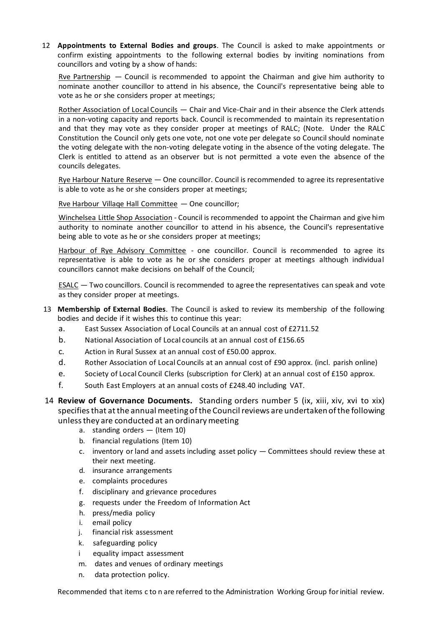12 **Appointments to External Bodies and groups**. The Council is asked to make appointments or confirm existing appointments to the following external bodies by inviting nominations from councillors and voting by a show of hands:

Rve Partnership  $-$  Council is recommended to appoint the Chairman and give him authority to nominate another councillor to attend in his absence, the Council's representative being able to vote as he or she considers proper at meetings;

Rother Association of Local Councils — Chair and Vice-Chair and in their absence the Clerk attends in a non-voting capacity and reports back. Council is recommended to maintain its representation and that they may vote as they consider proper at meetings of RALC; (Note. Under the RALC Constitution the Council only gets one vote, not one vote per delegate so Council should nominate the voting delegate with the non-voting delegate voting in the absence of the voting delegate. The Clerk is entitled to attend as an observer but is not permitted a vote even the absence of the councils delegates.

Rye Harbour Nature Reserve - One councillor. Council is recommended to agree its representative is able to vote as he or she considers proper at meetings;

Rve Harbour Villaqe Hall Committee — One councillor;

Winchelsea Little Shop Association - Council is recommended to appoint the Chairman and give him authority to nominate another councillor to attend in his absence, the Council's representative being able to vote as he or she considers proper at meetings;

Harbour of Rye Advisory Committee - one councillor. Council is recommended to agree its representative is able to vote as he or she considers proper at meetings although individual councillors cannot make decisions on behalf of the Council;

ESALC — Two councillors. Council is recommended to agree the representatives can speak and vote as they consider proper at meetings.

- 13 **Membership of External Bodies**. The Council is asked to review its membership of the following bodies and decide if it wishes this to continue this year:
	- a. East Sussex Association of Local Councils at an annual cost of £2711.52
	- b. National Association of Local councils at an annual cost of £156.65
	- c. Action in Rural Sussex at an annual cost of £50.00 approx.
	- d. Rother Association of Local Councils at an annual cost of £90 approx. (incl. parish online)
	- e. Society of Local Council Clerks (subscription for Clerk) at an annual cost of £150 approx.
	- f. South East Employers at an annual costs of £248.40 including VAT.
- 14 **Review of Governance Documents.** Standing orders number 5 (ix, xiii, xiv, xvi to xix) specifies that at the annual meeting of the Council reviews are undertaken of the following unless they are conducted at an ordinary meeting
	- a. standing orders (Item 10)
	- b. financial regulations (Item 10)
	- c. inventory or land and assets including asset policy Committees should review these at their next meeting.
	- d. insurance arrangements
	- e. complaints procedures
	- f. disciplinary and grievance procedures
	- g. requests under the Freedom of Information Act
	- h. press/media policy
	- i. email policy
	- j. financial risk assessment
	- k. safeguarding policy
	- i equality impact assessment
	- m. dates and venues of ordinary meetings
	- n. data protection policy.

Recommended that items c to n are referred to the Administration Working Group for initial review.